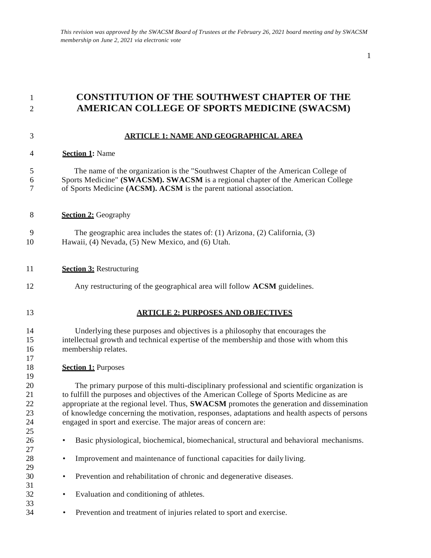# **CONSTITUTION OF THE SOUTHWEST CHAPTER OF THE AMERICAN COLLEGE OF SPORTS MEDICINE (SWACSM)**

## **ARTICLE 1: NAME AND GEOGRAPHICAL AREA**

### **Section 1:** Name

### The name of the organization is the "Southwest Chapter of the American College of Sports Medicine" **(SWACSM). SWACSM** is a regional chapter of the American College of Sports Medicine **(ACSM). ACSM** is the parent national association.

- **Section 2:** Geography
- The geographic area includes the states of: (1) Arizona, (2) California, (3) Hawaii, (4) Nevada, (5) New Mexico, and (6) Utah.

### **Section 3:** Restructuring

- Any restructuring of the geographical area will follow **ACSM** guidelines.
- 

### **ARTICLE 2: PURPOSES AND OBJECTIVES**

 Underlying these purposes and objectives is a philosophy that encourages the intellectual growth and technical expertise of the membership and those with whom this membership relates.

### **Section 1:** Purposes

 The primary purpose of this multi-disciplinary professional and scientific organization is to fulfill the purposes and objectives of the American College of Sports Medicine as are appropriate at the regional level. Thus, **SWACSM** promotes the generation and dissemination of knowledge concerning the motivation, responses, adaptations and health aspects of persons engaged in sport and exercise. The major areas of concern are:

- Basic physiological, biochemical, biomechanical, structural and behavioral mechanisms.
- Improvement and maintenance of functional capacities for daily living.
- Prevention and rehabilitation of chronic and degenerative diseases.
- Evaluation and conditioning of athletes.
- Prevention and treatment of injuries related to sport and exercise.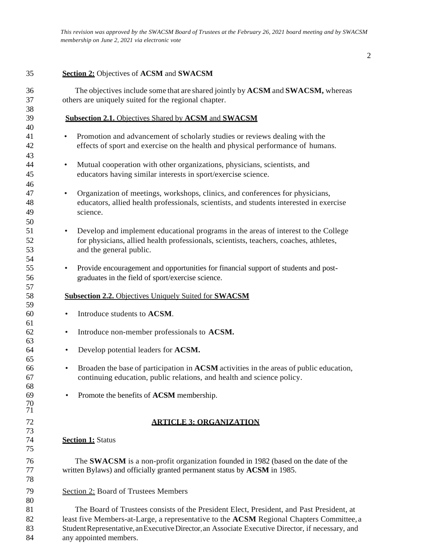# **Section 2:** Objectives of **ACSM** and **SWACSM**

| 36<br>37 | The objectives include some that are shared jointly by ACSM and SWACSM, whereas<br>others are uniquely suited for the regional chapter. |
|----------|-----------------------------------------------------------------------------------------------------------------------------------------|
| 38       |                                                                                                                                         |
| 39       | <b>Subsection 2.1.</b> Objectives Shared by <b>ACSM</b> and <b>SWACSM</b>                                                               |
| 40       |                                                                                                                                         |
| 41       | Promotion and advancement of scholarly studies or reviews dealing with the<br>$\bullet$                                                 |
| 42       | effects of sport and exercise on the health and physical performance of humans.                                                         |
| 43       |                                                                                                                                         |
| 44       | Mutual cooperation with other organizations, physicians, scientists, and<br>$\bullet$                                                   |
| 45       | educators having similar interests in sport/exercise science.                                                                           |
| 46       |                                                                                                                                         |
| 47       | Organization of meetings, workshops, clinics, and conferences for physicians,<br>$\bullet$                                              |
| 48       | educators, allied health professionals, scientists, and students interested in exercise                                                 |
| 49       | science.                                                                                                                                |
| 50       |                                                                                                                                         |
| 51       | Develop and implement educational programs in the areas of interest to the College<br>$\bullet$                                         |
| 52       | for physicians, allied health professionals, scientists, teachers, coaches, athletes,                                                   |
| 53       | and the general public.                                                                                                                 |
| 54       |                                                                                                                                         |
| 55       | Provide encouragement and opportunities for financial support of students and post-<br>$\bullet$                                        |
| 56       | graduates in the field of sport/exercise science.                                                                                       |
| 57       |                                                                                                                                         |
| 58       | <b>Subsection 2.2.</b> Objectives Uniquely Suited for <b>SWACSM</b>                                                                     |
| 59       |                                                                                                                                         |
| 60       | Introduce students to ACSM.<br>$\bullet$                                                                                                |
| 61       |                                                                                                                                         |
| 62       | Introduce non-member professionals to ACSM.<br>٠                                                                                        |
| 63       |                                                                                                                                         |
| 64       | Develop potential leaders for ACSM.<br>$\bullet$                                                                                        |
| 65       |                                                                                                                                         |
| 66       | Broaden the base of participation in ACSM activities in the areas of public education,<br>$\bullet$                                     |
| 67       | continuing education, public relations, and health and science policy.                                                                  |
| 68       |                                                                                                                                         |
| 69       | Promote the benefits of ACSM membership.<br>$\bullet$                                                                                   |
| 70       |                                                                                                                                         |
| 71       |                                                                                                                                         |
| 72       | <b>ARTICLE 3: ORGANIZATION</b>                                                                                                          |
| 73       |                                                                                                                                         |
| 74       | <b>Section 1: Status</b>                                                                                                                |
| 75       |                                                                                                                                         |
| 76       | The <b>SWACSM</b> is a non-profit organization founded in 1982 (based on the date of the                                                |
| 77       | written Bylaws) and officially granted permanent status by ACSM in 1985.                                                                |
| 78       |                                                                                                                                         |
| 79       | <b>Section 2: Board of Trustees Members</b>                                                                                             |
| 80       |                                                                                                                                         |
| 81       | The Board of Trustees consists of the President Elect, President, and Past President, at                                                |
| 82       | least five Members-at-Large, a representative to the ACSM Regional Chapters Committee, a                                                |
| 83       | Student Representative, an Executive Director, an Associate Executive Director, if necessary, and                                       |
| 84       | any appointed members.                                                                                                                  |
|          |                                                                                                                                         |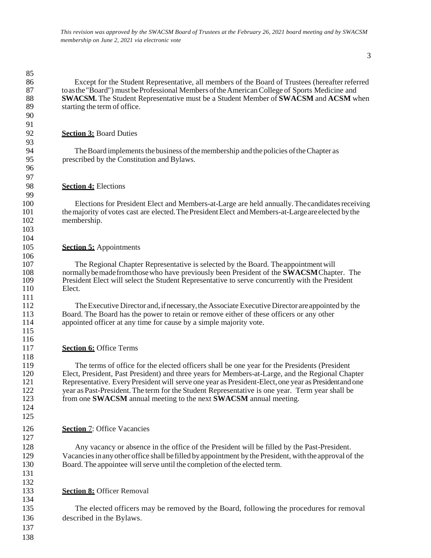Except for the Student Representative, all members of the Board of Trustees (hereafter referred toasthe"Board") must beProfessional Members oftheAmericanCollege of Sports Medicine and **SWACSM.** The Student Representative must be a Student Member of **SWACSM** and **ACSM** when starting the term of office.

### **Section 3:** Board Duties

 

 

 $\frac{99}{100}$ 

 

 

 

 

94 The Board implements the business of the membership and the policies of the Chapter as<br>95 prescribed by the Constitution and Bylaws. prescribed by the Constitution and Bylaws.

### **Section 4:** Elections

Elections for President Elect and Members-at-Large are held annually. The candidates receiving 101 the majority of votes cast are elected. The President Elect and Members-at-Large are elected by the nembership. membership.

### **Section 5:** Appointments

107 The Regional Chapter Representative is selected by the Board. The appointment will<br>108 normally be made from those who have previously been President of the **SWACSM** Chapt normally be made from those who have previously been President of the **SWACSM** Chapter. The President Elect will select the Student Representative to serve concurrently with the President Elect.

112 The Executive Director and, if necessary, the Associate Executive Director are appointed by the 113 Board. The Board has the power to retain or remove either of these officers or any other Board. The Board has the power to retain or remove either of these officers or any other appointed officer at any time for cause by a simple majority vote.

### **Section 6:** Office Terms

 The terms of office for the elected officers shall be one year for the Presidents (President Elect, President, Past President) and three years for Members-at-Large, and the Regional Chapter Representative. EveryPresident will serve one year as President-Elect,one year as Presidentand one year as Past-President.The term for the Student Representative is one year. Term year shall be from one **SWACSM** annual meeting to the next **SWACSM** annual meeting.

### **Section** 7: Office Vacancies

 Any vacancy or absence in the office of the President will be filled by the Past-President. Vacanciesinanyother office shall befilled byappointment bythe President, with the approval of the 130 Board. The appointee will serve until the completion of the elected term.

### **Section 8:** Officer Removal

 The elected officers may be removed by the Board, following the procedures for removal described in the Bylaws.

- 
-